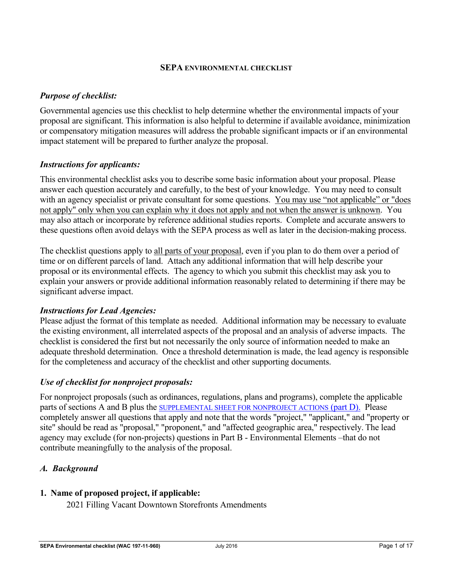#### **SEPA ENVIRONMENTAL CHECKLIST**

## *Purpose of checklist:*

Governmental agencies use this checklist to help determine whether the environmental impacts of your proposal are significant. This information is also helpful to determine if available avoidance, minimization or compensatory mitigation measures will address the probable significant impacts or if an environmental impact statement will be prepared to further analyze the proposal.

## *Instructions for applicants:*

This environmental checklist asks you to describe some basic information about your proposal. Please answer each question accurately and carefully, to the best of your knowledge. You may need to consult with an agency specialist or private consultant for some questions. You may use "not applicable" or "does" not apply" only when you can explain why it does not apply and not when the answer is unknown. You may also attach or incorporate by reference additional studies reports. Complete and accurate answers to these questions often avoid delays with the SEPA process as well as later in the decision-making process.

The checklist questions apply to all parts of your proposal, even if you plan to do them over a period of time or on different parcels of land. Attach any additional information that will help describe your proposal or its environmental effects. The agency to which you submit this checklist may ask you to explain your answers or provide additional information reasonably related to determining if there may be significant adverse impact.

#### *Instructions for Lead Agencies:*

Please adjust the format of this template as needed. Additional information may be necessary to evaluate the existing environment, all interrelated aspects of the proposal and an analysis of adverse impacts. The checklist is considered the first but not necessarily the only source of information needed to make an adequate threshold determination. Once a threshold determination is made, the lead agency is responsible for the completeness and accuracy of the checklist and other supporting documents.

## *Use of checklist for nonproject proposals:*

For nonproject proposals (such as ordinances, regulations, plans and programs), complete the applicable parts of sections A and B plus the SUPPLEMENTAL SHEET FOR NONPROJECT ACTIONS (part D). Please completely answer all questions that apply and note that the words "project," "applicant," and "property or site" should be read as "proposal," "proponent," and "affected geographic area," respectively. The lead agency may exclude (for non-projects) questions in Part B - Environmental Elements –that do not contribute meaningfully to the analysis of the proposal.

## *A. Background*

## **1. Name of proposed project, if applicable:**

2021 Filling Vacant Downtown Storefronts Amendments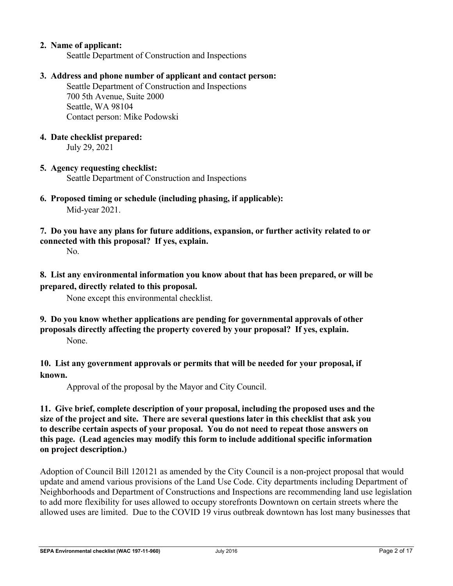## **2. Name of applicant:**

Seattle Department of Construction and Inspections

#### **3. Address and phone number of applicant and contact person:**

 Seattle Department of Construction and Inspections 700 5th Avenue, Suite 2000 Seattle, WA 98104 Contact person: Mike Podowski

#### **4. Date checklist prepared:**

July 29, 2021

#### **5. Agency requesting checklist:**

Seattle Department of Construction and Inspections

**6. Proposed timing or schedule (including phasing, if applicable):**  Mid-year 2021.

**7. Do you have any plans for future additions, expansion, or further activity related to or connected with this proposal? If yes, explain.** 

No.

## **8. List any environmental information you know about that has been prepared, or will be prepared, directly related to this proposal.**

None except this environmental checklist.

## **9. Do you know whether applications are pending for governmental approvals of other proposals directly affecting the property covered by your proposal? If yes, explain.**  None.

## **10. List any government approvals or permits that will be needed for your proposal, if known.**

Approval of the proposal by the Mayor and City Council.

**11. Give brief, complete description of your proposal, including the proposed uses and the size of the project and site. There are several questions later in this checklist that ask you to describe certain aspects of your proposal. You do not need to repeat those answers on this page. (Lead agencies may modify this form to include additional specific information on project description.)** 

Adoption of Council Bill 120121 as amended by the City Council is a non-project proposal that would update and amend various provisions of the Land Use Code. City departments including Department of Neighborhoods and Department of Constructions and Inspections are recommending land use legislation to add more flexibility for uses allowed to occupy storefronts Downtown on certain streets where the allowed uses are limited. Due to the COVID 19 virus outbreak downtown has lost many businesses that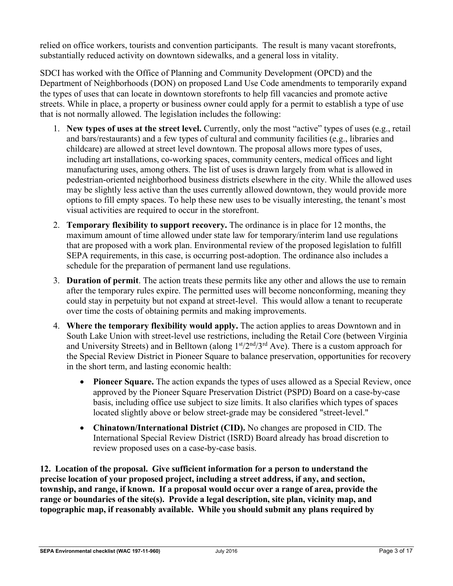relied on office workers, tourists and convention participants. The result is many vacant storefronts, substantially reduced activity on downtown sidewalks, and a general loss in vitality.

SDCI has worked with the Office of Planning and Community Development (OPCD) and the Department of Neighborhoods (DON) on proposed Land Use Code amendments to temporarily expand the types of uses that can locate in downtown storefronts to help fill vacancies and promote active streets. While in place, a property or business owner could apply for a permit to establish a type of use that is not normally allowed. The legislation includes the following:

- 1. **New types of uses at the street level.** Currently, only the most "active" types of uses (e.g., retail and bars/restaurants) and a few types of cultural and community facilities (e.g., libraries and childcare) are allowed at street level downtown. The proposal allows more types of uses, including art installations, co-working spaces, community centers, medical offices and light manufacturing uses, among others. The list of uses is drawn largely from what is allowed in pedestrian-oriented neighborhood business districts elsewhere in the city. While the allowed uses may be slightly less active than the uses currently allowed downtown, they would provide more options to fill empty spaces. To help these new uses to be visually interesting, the tenant's most visual activities are required to occur in the storefront.
- 2. **Temporary flexibility to support recovery.** The ordinance is in place for 12 months, the maximum amount of time allowed under state law for temporary/interim land use regulations that are proposed with a work plan. Environmental review of the proposed legislation to fulfill SEPA requirements, in this case, is occurring post-adoption. The ordinance also includes a schedule for the preparation of permanent land use regulations.
- 3. **Duration of permit**. The action treats these permits like any other and allows the use to remain after the temporary rules expire. The permitted uses will become nonconforming, meaning they could stay in perpetuity but not expand at street-level. This would allow a tenant to recuperate over time the costs of obtaining permits and making improvements.
- 4. **Where the temporary flexibility would apply.** The action applies to areas Downtown and in South Lake Union with street-level use restrictions, including the Retail Core (between Virginia and University Streets) and in Belltown (along  $1<sup>st</sup>/2<sup>nd</sup>/3<sup>rd</sup>$  Ave). There is a custom approach for the Special Review District in Pioneer Square to balance preservation, opportunities for recovery in the short term, and lasting economic health:
	- Pioneer Square. The action expands the types of uses allowed as a Special Review, once approved by the Pioneer Square Preservation District (PSPD) Board on a case-by-case basis, including office use subject to size limits. It also clarifies which types of spaces located slightly above or below street-grade may be considered "street-level."
	- **Chinatown/International District (CID).** No changes are proposed in CID. The International Special Review District (ISRD) Board already has broad discretion to review proposed uses on a case-by-case basis.

**12. Location of the proposal. Give sufficient information for a person to understand the precise location of your proposed project, including a street address, if any, and section, township, and range, if known. If a proposal would occur over a range of area, provide the range or boundaries of the site(s). Provide a legal description, site plan, vicinity map, and topographic map, if reasonably available. While you should submit any plans required by**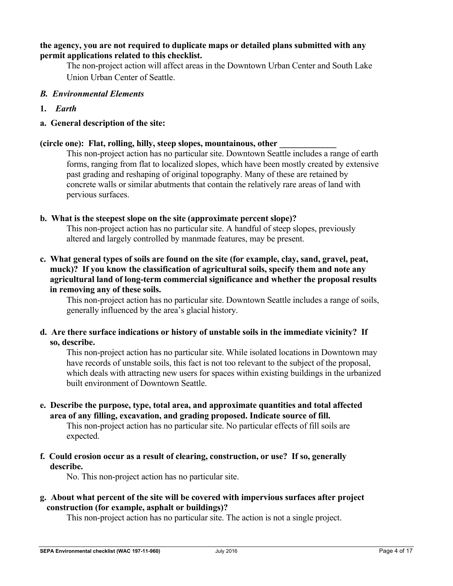#### **the agency, you are not required to duplicate maps or detailed plans submitted with any permit applications related to this checklist.**

 The non-project action will affect areas in the Downtown Urban Center and South Lake Union Urban Center of Seattle.

- *B. Environmental Elements*
- **1.** *Earth*
- **a. General description of the site:**

#### **(circle one): Flat, rolling, hilly, steep slopes, mountainous, other \_\_\_\_\_\_\_\_\_\_\_\_\_**

This non-project action has no particular site. Downtown Seattle includes a range of earth forms, ranging from flat to localized slopes, which have been mostly created by extensive past grading and reshaping of original topography. Many of these are retained by concrete walls or similar abutments that contain the relatively rare areas of land with pervious surfaces.

#### **b. What is the steepest slope on the site (approximate percent slope)?**

 This non-project action has no particular site. A handful of steep slopes, previously altered and largely controlled by manmade features, may be present.

## **c. What general types of soils are found on the site (for example, clay, sand, gravel, peat, muck)? If you know the classification of agricultural soils, specify them and note any agricultural land of long-term commercial significance and whether the proposal results in removing any of these soils.**

 This non-project action has no particular site. Downtown Seattle includes a range of soils, generally influenced by the area's glacial history.

**d. Are there surface indications or history of unstable soils in the immediate vicinity? If so, describe.** 

 This non-project action has no particular site. While isolated locations in Downtown may have records of unstable soils, this fact is not too relevant to the subject of the proposal, which deals with attracting new users for spaces within existing buildings in the urbanized built environment of Downtown Seattle.

## **e. Describe the purpose, type, total area, and approximate quantities and total affected area of any filling, excavation, and grading proposed. Indicate source of fill.**

 This non-project action has no particular site. No particular effects of fill soils are expected.

## **f. Could erosion occur as a result of clearing, construction, or use? If so, generally describe.**

No. This non-project action has no particular site.

## **g. About what percent of the site will be covered with impervious surfaces after project construction (for example, asphalt or buildings)?**

This non-project action has no particular site. The action is not a single project.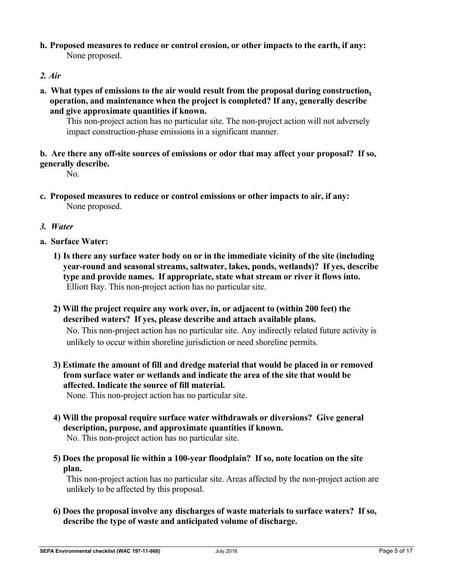- **h. Proposed measures to reduce or control erosion, or other impacts to the earth, if any:**  None proposed.
- *2. Air*
- **a. What types of emissions to the air would result from the proposal during construction, operation, and maintenance when the project is completed? If any, generally describe and give approximate quantities if known.**

 This non-project action has no particular site. The non-project action will not adversely impact construction-phase emissions in a significant manner.

## **b. Are there any off-site sources of emissions or odor that may affect your proposal? If so, generally describe.**

No.

- **c. Proposed measures to reduce or control emissions or other impacts to air, if any:**  None proposed.
- *3. Water*
- **a. Surface Water:** 
	- **1) Is there any surface water body on or in the immediate vicinity of the site (including year-round and seasonal streams, saltwater, lakes, ponds, wetlands)? If yes, describe type and provide names. If appropriate, state what stream or river it flows into.**  Elliott Bay. This non-project action has no particular site.
	- **2) Will the project require any work over, in, or adjacent to (within 200 feet) the described waters? If yes, please describe and attach available plans.**

No. This non-project action has no particular site. Any indirectly related future activity is unlikely to occur within shoreline jurisdiction or need shoreline permits.

**3) Estimate the amount of fill and dredge material that would be placed in or removed from surface water or wetlands and indicate the area of the site that would be affected. Indicate the source of fill material.** 

None. This non-project action has no particular site.

- **4) Will the proposal require surface water withdrawals or diversions? Give general description, purpose, and approximate quantities if known.**  No. This non-project action has no particular site.
- **5) Does the proposal lie within a 100-year floodplain? If so, note location on the site plan.**

This non-project action has no particular site. Areas affected by the non-project action are unlikely to be affected by this proposal.

**6) Does the proposal involve any discharges of waste materials to surface waters? If so, describe the type of waste and anticipated volume of discharge.**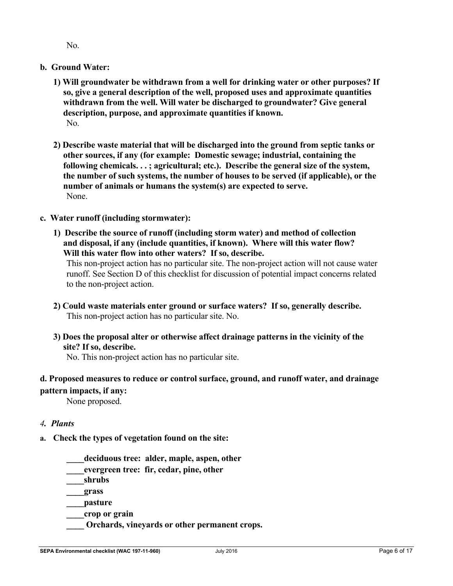No.

## **b. Ground Water:**

- **1) Will groundwater be withdrawn from a well for drinking water or other purposes? If so, give a general description of the well, proposed uses and approximate quantities withdrawn from the well. Will water be discharged to groundwater? Give general description, purpose, and approximate quantities if known.**  No.
- **2) Describe waste material that will be discharged into the ground from septic tanks or other sources, if any (for example: Domestic sewage; industrial, containing the following chemicals. . . ; agricultural; etc.). Describe the general size of the system, the number of such systems, the number of houses to be served (if applicable), or the number of animals or humans the system(s) are expected to serve.**  None.

## **c. Water runoff (including stormwater):**

**1) Describe the source of runoff (including storm water) and method of collection and disposal, if any (include quantities, if known). Where will this water flow? Will this water flow into other waters? If so, describe.** 

This non-project action has no particular site. The non-project action will not cause water runoff. See Section D of this checklist for discussion of potential impact concerns related to the non-project action.

- **2) Could waste materials enter ground or surface waters? If so, generally describe.**  This non-project action has no particular site. No.
- **3) Does the proposal alter or otherwise affect drainage patterns in the vicinity of the site? If so, describe.**

No. This non-project action has no particular site.

## **d. Proposed measures to reduce or control surface, ground, and runoff water, and drainage pattern impacts, if any:**

None proposed.

#### *4. Plants*

- **a. Check the types of vegetation found on the site:** 
	- **\_\_\_\_deciduous tree: alder, maple, aspen, other**
	- **\_\_\_\_evergreen tree: fir, cedar, pine, other**

**\_\_\_\_shrubs** 

**\_\_\_\_grass** 

**\_\_\_\_pasture** 

- **\_\_\_\_crop or grain**
- **\_\_\_\_ Orchards, vineyards or other permanent crops.**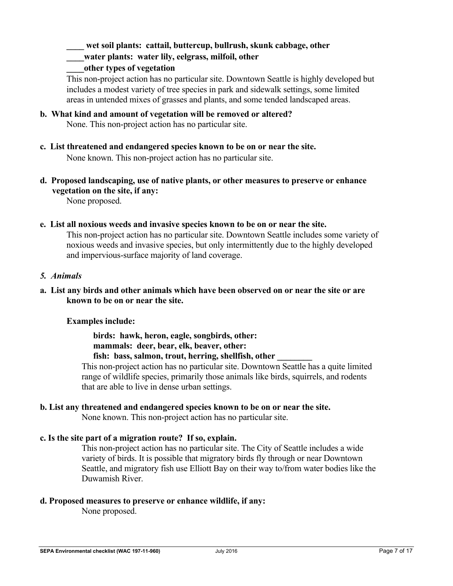wet soil plants: cattail, buttercup, bullrush, skunk cabbage, other

**\_\_\_\_water plants: water lily, eelgrass, milfoil, other** 

## **\_\_\_\_other types of vegetation**

 This non-project action has no particular site. Downtown Seattle is highly developed but includes a modest variety of tree species in park and sidewalk settings, some limited areas in untended mixes of grasses and plants, and some tended landscaped areas.

- **b. What kind and amount of vegetation will be removed or altered?**  None. This non-project action has no particular site.
- **c. List threatened and endangered species known to be on or near the site.**  None known. This non-project action has no particular site.
- **d. Proposed landscaping, use of native plants, or other measures to preserve or enhance vegetation on the site, if any:**

None proposed.

**e. List all noxious weeds and invasive species known to be on or near the site.** 

This non-project action has no particular site. Downtown Seattle includes some variety of noxious weeds and invasive species, but only intermittently due to the highly developed and impervious-surface majority of land coverage.

## *5. Animals*

## **a. List any birds and other animals which have been observed on or near the site or are known to be on or near the site.**

## **Examples include:**

 **birds: hawk, heron, eagle, songbirds, other: mammals: deer, bear, elk, beaver, other:**  fish: bass, salmon, trout, herring, shellfish, other

This non-project action has no particular site. Downtown Seattle has a quite limited range of wildlife species, primarily those animals like birds, squirrels, and rodents that are able to live in dense urban settings.

## **b. List any threatened and endangered species known to be on or near the site.**

None known. This non-project action has no particular site.

## **c. Is the site part of a migration route? If so, explain.**

This non-project action has no particular site. The City of Seattle includes a wide variety of birds. It is possible that migratory birds fly through or near Downtown Seattle, and migratory fish use Elliott Bay on their way to/from water bodies like the Duwamish River.

## **d. Proposed measures to preserve or enhance wildlife, if any:**

None proposed.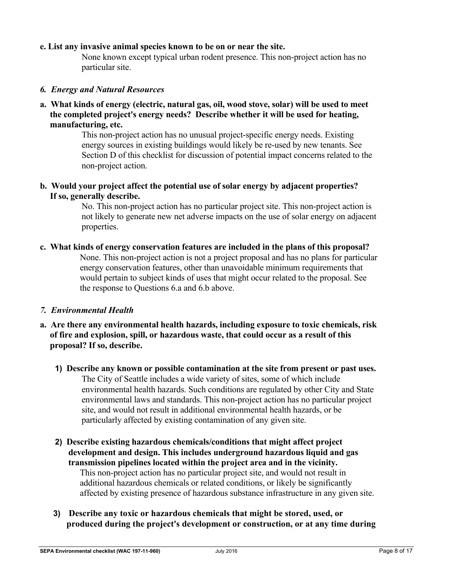#### **e. List any invasive animal species known to be on or near the site.**

None known except typical urban rodent presence. This non-project action has no particular site.

#### *6. Energy and Natural Resources*

**a. What kinds of energy (electric, natural gas, oil, wood stove, solar) will be used to meet the completed project's energy needs? Describe whether it will be used for heating, manufacturing, etc.** 

> This non-project action has no unusual project-specific energy needs. Existing energy sources in existing buildings would likely be re-used by new tenants. See Section D of this checklist for discussion of potential impact concerns related to the non-project action.

**b. Would your project affect the potential use of solar energy by adjacent properties? If so, generally describe.**

> No. This non-project action has no particular project site. This non-project action is not likely to generate new net adverse impacts on the use of solar energy on adjacent properties.

**c. What kinds of energy conservation features are included in the plans of this proposal?**  None. This non-project action is not a project proposal and has no plans for particular energy conservation features, other than unavoidable minimum requirements that would pertain to subject kinds of uses that might occur related to the proposal. See the response to Questions 6.a and 6.b above.

#### *7. Environmental Health*

- **a. Are there any environmental health hazards, including exposure to toxic chemicals, risk of fire and explosion, spill, or hazardous waste, that could occur as a result of this proposal? If so, describe.** 
	- **1) Describe any known or possible contamination at the site from present or past uses.**  The City of Seattle includes a wide variety of sites, some of which include environmental health hazards. Such conditions are regulated by other City and State environmental laws and standards. This non-project action has no particular project site, and would not result in additional environmental health hazards, or be particularly affected by existing contamination of any given site.
	- **2) Describe existing hazardous chemicals/conditions that might affect project development and design. This includes underground hazardous liquid and gas transmission pipelines located within the project area and in the vicinity.**  This non-project action has no particular project site, and would not result in additional hazardous chemicals or related conditions, or likely be significantly affected by existing presence of hazardous substance infrastructure in any given site.
	- **3) Describe any toxic or hazardous chemicals that might be stored, used, or produced during the project's development or construction, or at any time during**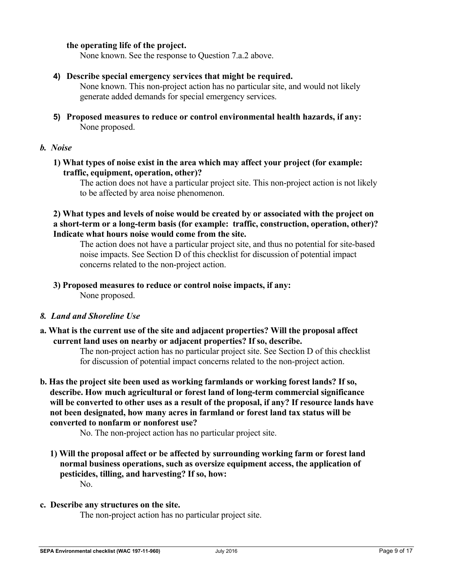#### **the operating life of the project.**

None known. See the response to Question 7.a.2 above.

#### **4) Describe special emergency services that might be required.**

None known. This non-project action has no particular site, and would not likely generate added demands for special emergency services.

**5) Proposed measures to reduce or control environmental health hazards, if any:**  None proposed.

#### *b. Noise*

**1) What types of noise exist in the area which may affect your project (for example: traffic, equipment, operation, other)?** 

The action does not have a particular project site. This non-project action is not likely to be affected by area noise phenomenon.

**2) What types and levels of noise would be created by or associated with the project on a short-term or a long-term basis (for example: traffic, construction, operation, other)? Indicate what hours noise would come from the site.** 

The action does not have a particular project site, and thus no potential for site-based noise impacts. See Section D of this checklist for discussion of potential impact concerns related to the non-project action.

# **3) Proposed measures to reduce or control noise impacts, if any:**

None proposed.

#### *8. Land and Shoreline Use*

**a. What is the current use of the site and adjacent properties? Will the proposal affect current land uses on nearby or adjacent properties? If so, describe.** 

The non-project action has no particular project site. See Section D of this checklist for discussion of potential impact concerns related to the non-project action.

**b. Has the project site been used as working farmlands or working forest lands? If so, describe. How much agricultural or forest land of long-term commercial significance will be converted to other uses as a result of the proposal, if any? If resource lands have not been designated, how many acres in farmland or forest land tax status will be converted to nonfarm or nonforest use?** 

No. The non-project action has no particular project site.

**1) Will the proposal affect or be affected by surrounding working farm or forest land normal business operations, such as oversize equipment access, the application of pesticides, tilling, and harvesting? If so, how:** 

No.

#### **c. Describe any structures on the site.**

The non-project action has no particular project site.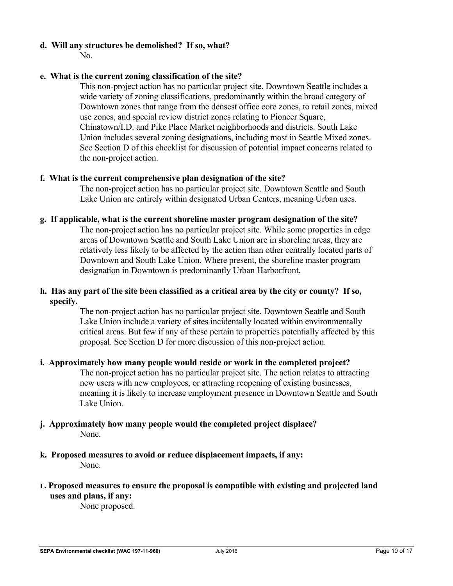## **d. Will any structures be demolished? If so, what?**

 $N_{\Omega}$ 

## **e. What is the current zoning classification of the site?**

This non-project action has no particular project site. Downtown Seattle includes a wide variety of zoning classifications, predominantly within the broad category of Downtown zones that range from the densest office core zones, to retail zones, mixed use zones, and special review district zones relating to Pioneer Square, Chinatown/I.D. and Pike Place Market neighborhoods and districts. South Lake Union includes several zoning designations, including most in Seattle Mixed zones. See Section D of this checklist for discussion of potential impact concerns related to the non-project action.

#### **f. What is the current comprehensive plan designation of the site?**

The non-project action has no particular project site. Downtown Seattle and South Lake Union are entirely within designated Urban Centers, meaning Urban uses.

#### **g. If applicable, what is the current shoreline master program designation of the site?**

The non-project action has no particular project site. While some properties in edge areas of Downtown Seattle and South Lake Union are in shoreline areas, they are relatively less likely to be affected by the action than other centrally located parts of Downtown and South Lake Union. Where present, the shoreline master program designation in Downtown is predominantly Urban Harborfront.

## **h. Has any part of the site been classified as a critical area by the city or county? If so, specify.**

The non-project action has no particular project site. Downtown Seattle and South Lake Union include a variety of sites incidentally located within environmentally critical areas. But few if any of these pertain to properties potentially affected by this proposal. See Section D for more discussion of this non-project action.

## **i. Approximately how many people would reside or work in the completed project?**

The non-project action has no particular project site. The action relates to attracting new users with new employees, or attracting reopening of existing businesses, meaning it is likely to increase employment presence in Downtown Seattle and South Lake Union.

## **j. Approximately how many people would the completed project displace?**  None.

**k. Proposed measures to avoid or reduce displacement impacts, if any:**  None.

# **L. Proposed measures to ensure the proposal is compatible with existing and projected land uses and plans, if any:**

None proposed.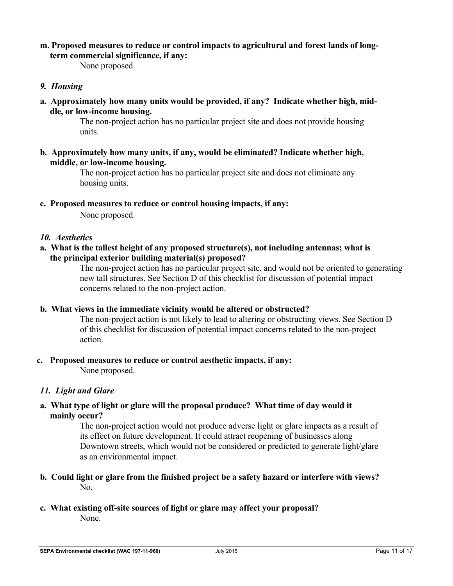## **m. Proposed measures to reduce or control impacts to agricultural and forest lands of longterm commercial significance, if any:**

None proposed.

## *9. Housing*

**a. Approximately how many units would be provided, if any? Indicate whether high, middle, or low-income housing.** 

> The non-project action has no particular project site and does not provide housing units.

**b. Approximately how many units, if any, would be eliminated? Indicate whether high, middle, or low-income housing.** 

> The non-project action has no particular project site and does not eliminate any housing units.

**c. Proposed measures to reduce or control housing impacts, if any:**  None proposed.

#### *10. Aesthetics*

**a. What is the tallest height of any proposed structure(s), not including antennas; what is the principal exterior building material(s) proposed?** 

> The non-project action has no particular project site, and would not be oriented to generating new tall structures. See Section D of this checklist for discussion of potential impact concerns related to the non-project action.

#### **b. What views in the immediate vicinity would be altered or obstructed?**

The non-project action is not likely to lead to altering or obstructing views. See Section D of this checklist for discussion of potential impact concerns related to the non-project action.

**c. Proposed measures to reduce or control aesthetic impacts, if any:**  None proposed.

#### *11. Light and Glare*

**a. What type of light or glare will the proposal produce? What time of day would it mainly occur?** 

> The non-project action would not produce adverse light or glare impacts as a result of its effect on future development. It could attract reopening of businesses along Downtown streets, which would not be considered or predicted to generate light/glare as an environmental impact.

- **b. Could light or glare from the finished project be a safety hazard or interfere with views?**  No.
- **c. What existing off-site sources of light or glare may affect your proposal?**  None.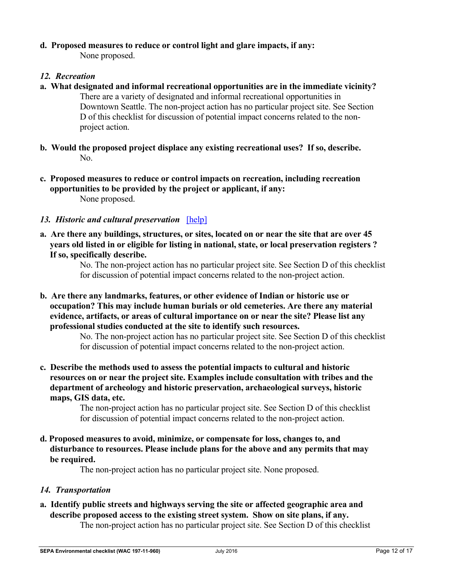# **d. Proposed measures to reduce or control light and glare impacts, if any:**

None proposed.

## 12. Recreation

- **a. What designated and informal recreational opportunities are in the immediate vicinity?**  There are a variety of designated and informal recreational opportunities in Downtown Seattle. The non-project action has no particular project site. See Section D of this checklist for discussion of potential impact concerns related to the nonproject action.
- **b. Would the proposed project displace any existing recreational uses? If so, describe.**  No.
- **c. Proposed measures to reduce or control impacts on recreation, including recreation opportunities to be provided by the project or applicant, if any:**  None proposed.
- 13. Historic and cultural preservation [help]
- **a. Are there any buildings, structures, or sites, located on or near the site that are over 45 years old listed in or eligible for listing in national, state, or local preservation registers ? If so, specifically describe.**

No. The non-project action has no particular project site. See Section D of this checklist for discussion of potential impact concerns related to the non-project action.

**b. Are there any landmarks, features, or other evidence of Indian or historic use or occupation? This may include human burials or old cemeteries. Are there any material evidence, artifacts, or areas of cultural importance on or near the site? Please list any professional studies conducted at the site to identify such resources.** 

No. The non-project action has no particular project site. See Section D of this checklist for discussion of potential impact concerns related to the non-project action.

**c. Describe the methods used to assess the potential impacts to cultural and historic resources on or near the project site. Examples include consultation with tribes and the department of archeology and historic preservation, archaeological surveys, historic maps, GIS data, etc.** 

The non-project action has no particular project site. See Section D of this checklist for discussion of potential impact concerns related to the non-project action.

**d. Proposed measures to avoid, minimize, or compensate for loss, changes to, and disturbance to resources. Please include plans for the above and any permits that may be required.** 

The non-project action has no particular project site. None proposed.

# *14. Transportation*

**a. Identify public streets and highways serving the site or affected geographic area and describe proposed access to the existing street system. Show on site plans, if any.** 

The non-project action has no particular project site. See Section D of this checklist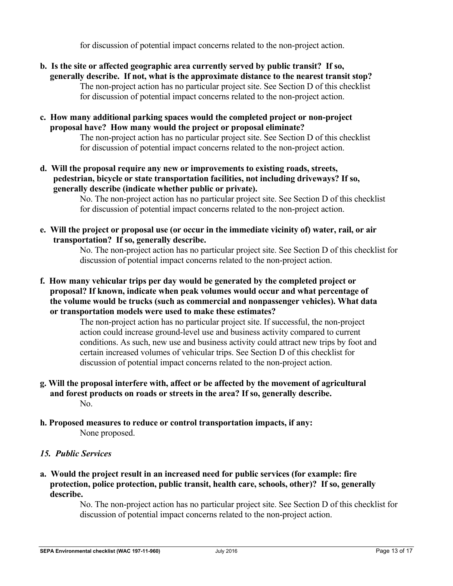for discussion of potential impact concerns related to the non-project action.

- **b. Is the site or affected geographic area currently served by public transit? If so, generally describe. If not, what is the approximate distance to the nearest transit stop?**  The non-project action has no particular project site. See Section D of this checklist for discussion of potential impact concerns related to the non-project action.
- **c. How many additional parking spaces would the completed project or non-project proposal have? How many would the project or proposal eliminate?**

The non-project action has no particular project site. See Section D of this checklist for discussion of potential impact concerns related to the non-project action.

**d. Will the proposal require any new or improvements to existing roads, streets, pedestrian, bicycle or state transportation facilities, not including driveways? If so, generally describe (indicate whether public or private).** 

> No. The non-project action has no particular project site. See Section D of this checklist for discussion of potential impact concerns related to the non-project action.

**e. Will the project or proposal use (or occur in the immediate vicinity of) water, rail, or air transportation? If so, generally describe.** 

No. The non-project action has no particular project site. See Section D of this checklist for discussion of potential impact concerns related to the non-project action.

**f. How many vehicular trips per day would be generated by the completed project or proposal? If known, indicate when peak volumes would occur and what percentage of the volume would be trucks (such as commercial and nonpassenger vehicles). What data or transportation models were used to make these estimates?** 

> The non-project action has no particular project site. If successful, the non-project action could increase ground-level use and business activity compared to current conditions. As such, new use and business activity could attract new trips by foot and certain increased volumes of vehicular trips. See Section D of this checklist for discussion of potential impact concerns related to the non-project action.

- **g. Will the proposal interfere with, affect or be affected by the movement of agricultural and forest products on roads or streets in the area? If so, generally describe.**  No.
- **h. Proposed measures to reduce or control transportation impacts, if any:**  None proposed.
- *15. Public Services*
- **a. Would the project result in an increased need for public services (for example: fire protection, police protection, public transit, health care, schools, other)? If so, generally describe.**

No. The non-project action has no particular project site. See Section D of this checklist for discussion of potential impact concerns related to the non-project action.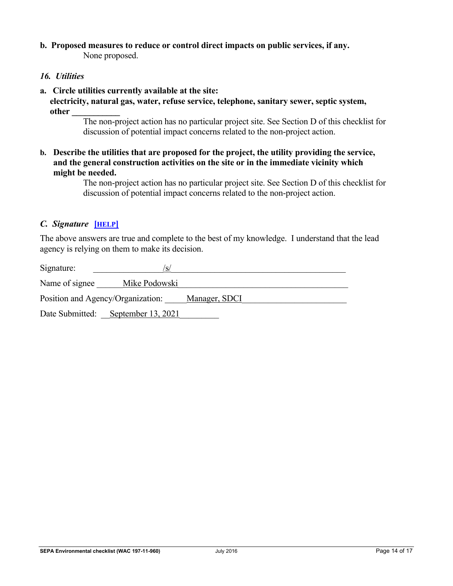#### **b. Proposed measures to reduce or control direct impacts on public services, if any.**  None proposed.

#### *16. Utilities*

#### **a. Circle utilities currently available at the site:**

**electricity, natural gas, water, refuse service, telephone, sanitary sewer, septic system, other \_\_\_\_\_\_\_\_\_\_\_** 

> The non-project action has no particular project site. See Section D of this checklist for discussion of potential impact concerns related to the non-project action.

**b. Describe the utilities that are proposed for the project, the utility providing the service, and the general construction activities on the site or in the immediate vicinity which might be needed.** 

> The non-project action has no particular project site. See Section D of this checklist for discussion of potential impact concerns related to the non-project action.

## *C. Signature* **[HELP]**

The above answers are true and complete to the best of my knowledge. I understand that the lead agency is relying on them to make its decision.

| Signature:                                         | /s/                |  |
|----------------------------------------------------|--------------------|--|
| Name of signee                                     | Mike Podowski      |  |
| Position and Agency/Organization:<br>Manager, SDCI |                    |  |
| Date Submitted:                                    | September 13, 2021 |  |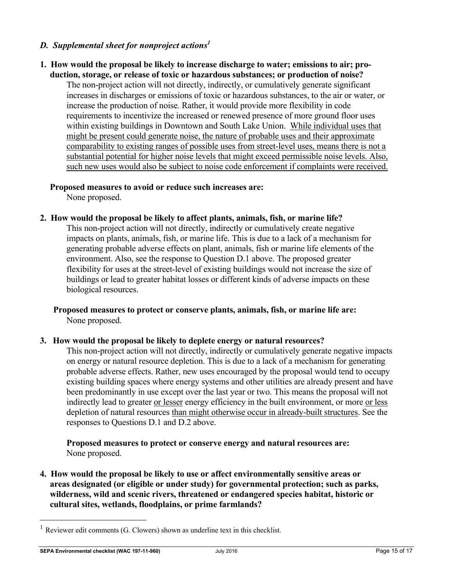## *D. Supplemental sheet for nonproject actions1*

#### **1. How would the proposal be likely to increase discharge to water; emissions to air; production, storage, or release of toxic or hazardous substances; or production of noise?**

The non-project action will not directly, indirectly, or cumulatively generate significant increases in discharges or emissions of toxic or hazardous substances, to the air or water, or increase the production of noise. Rather, it would provide more flexibility in code requirements to incentivize the increased or renewed presence of more ground floor uses within existing buildings in Downtown and South Lake Union. While individual uses that might be present could generate noise, the nature of probable uses and their approximate comparability to existing ranges of possible uses from street-level uses, means there is not a substantial potential for higher noise levels that might exceed permissible noise levels. Also, such new uses would also be subject to noise code enforcement if complaints were received.

## **Proposed measures to avoid or reduce such increases are:**

None proposed.

**2. How would the proposal be likely to affect plants, animals, fish, or marine life?** 

This non-project action will not directly, indirectly or cumulatively create negative impacts on plants, animals, fish, or marine life. This is due to a lack of a mechanism for generating probable adverse effects on plant, animals, fish or marine life elements of the environment. Also, see the response to Question D.1 above. The proposed greater flexibility for uses at the street-level of existing buildings would not increase the size of buildings or lead to greater habitat losses or different kinds of adverse impacts on these biological resources.

#### **Proposed measures to protect or conserve plants, animals, fish, or marine life are:**  None proposed.

#### **3. How would the proposal be likely to deplete energy or natural resources?**

This non-project action will not directly, indirectly or cumulatively generate negative impacts on energy or natural resource depletion. This is due to a lack of a mechanism for generating probable adverse effects. Rather, new uses encouraged by the proposal would tend to occupy existing building spaces where energy systems and other utilities are already present and have been predominantly in use except over the last year or two. This means the proposal will not indirectly lead to greater or lesser energy efficiency in the built environment, or more or less depletion of natural resources than might otherwise occur in already-built structures. See the responses to Questions D.1 and D.2 above.

## **Proposed measures to protect or conserve energy and natural resources are:**  None proposed.

**4. How would the proposal be likely to use or affect environmentally sensitive areas or areas designated (or eligible or under study) for governmental protection; such as parks, wilderness, wild and scenic rivers, threatened or endangered species habitat, historic or cultural sites, wetlands, floodplains, or prime farmlands?** 

Reviewer edit comments (G. Clowers) shown as underline text in this checklist.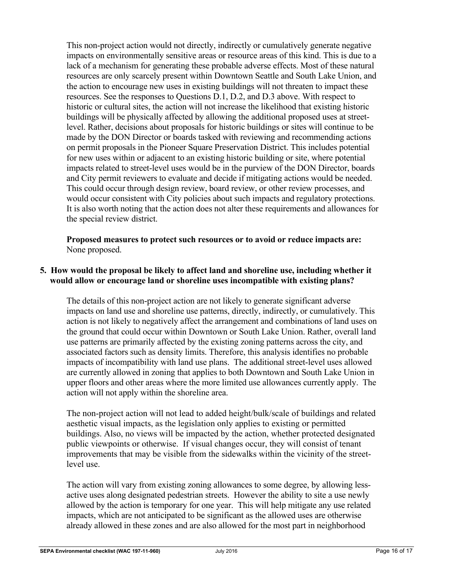This non-project action would not directly, indirectly or cumulatively generate negative impacts on environmentally sensitive areas or resource areas of this kind. This is due to a lack of a mechanism for generating these probable adverse effects. Most of these natural resources are only scarcely present within Downtown Seattle and South Lake Union, and the action to encourage new uses in existing buildings will not threaten to impact these resources. See the responses to Questions D.1, D.2, and D.3 above. With respect to historic or cultural sites, the action will not increase the likelihood that existing historic buildings will be physically affected by allowing the additional proposed uses at streetlevel. Rather, decisions about proposals for historic buildings or sites will continue to be made by the DON Director or boards tasked with reviewing and recommending actions on permit proposals in the Pioneer Square Preservation District. This includes potential for new uses within or adjacent to an existing historic building or site, where potential impacts related to street-level uses would be in the purview of the DON Director, boards and City permit reviewers to evaluate and decide if mitigating actions would be needed. This could occur through design review, board review, or other review processes, and would occur consistent with City policies about such impacts and regulatory protections. It is also worth noting that the action does not alter these requirements and allowances for the special review district.

 **Proposed measures to protect such resources or to avoid or reduce impacts are:**  None proposed.

## **5. How would the proposal be likely to affect land and shoreline use, including whether it would allow or encourage land or shoreline uses incompatible with existing plans?**

The details of this non-project action are not likely to generate significant adverse impacts on land use and shoreline use patterns, directly, indirectly, or cumulatively. This action is not likely to negatively affect the arrangement and combinations of land uses on the ground that could occur within Downtown or South Lake Union. Rather, overall land use patterns are primarily affected by the existing zoning patterns across the city, and associated factors such as density limits. Therefore, this analysis identifies no probable impacts of incompatibility with land use plans. The additional street-level uses allowed are currently allowed in zoning that applies to both Downtown and South Lake Union in upper floors and other areas where the more limited use allowances currently apply. The action will not apply within the shoreline area.

The non-project action will not lead to added height/bulk/scale of buildings and related aesthetic visual impacts, as the legislation only applies to existing or permitted buildings. Also, no views will be impacted by the action, whether protected designated public viewpoints or otherwise. If visual changes occur, they will consist of tenant improvements that may be visible from the sidewalks within the vicinity of the streetlevel use.

The action will vary from existing zoning allowances to some degree, by allowing lessactive uses along designated pedestrian streets. However the ability to site a use newly allowed by the action is temporary for one year. This will help mitigate any use related impacts, which are not anticipated to be significant as the allowed uses are otherwise already allowed in these zones and are also allowed for the most part in neighborhood